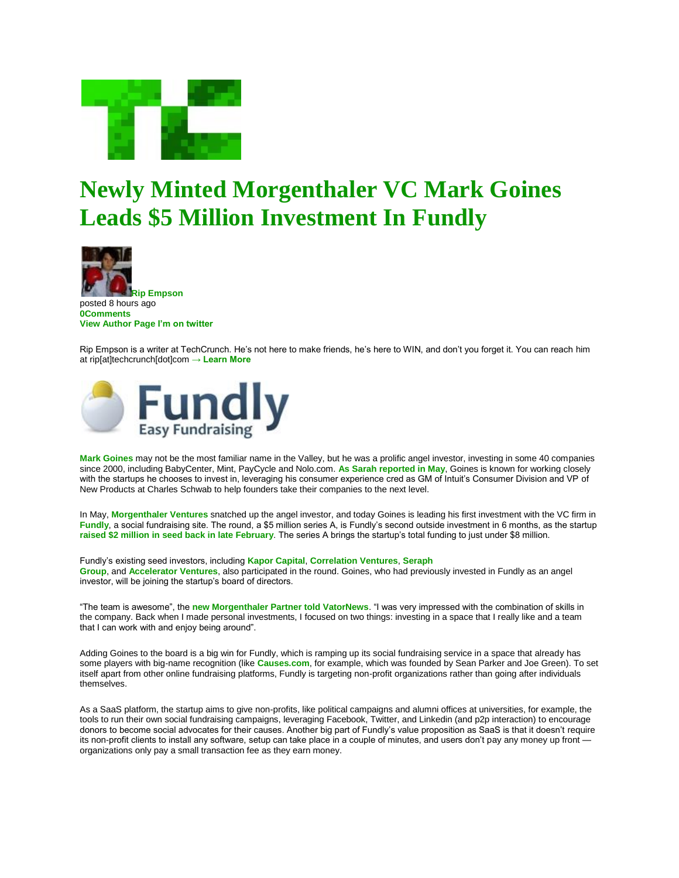

## **Newly Minted Morgenthaler VC Mark Goines Leads \$5 Million Investment In Fundly**



**Rip Empson** posted 8 hours ago **0Comments View Author Page I'm on twitter**

Rip Empson is a writer at TechCrunch. He's not here to make friends, he's here to WIN, and don't you forget it. You can reach him at rip[at]techcrunch[dot]com **→ Learn More**



**Mark Goines** may not be the most familiar name in the Valley, but he was a prolific angel investor, investing in some 40 companies since 2000, including BabyCenter, Mint, PayCycle and Nolo.com. **As Sarah reported in May**, Goines is known for working closely with the startups he chooses to invest in, leveraging his consumer experience cred as GM of Intuit's Consumer Division and VP of New Products at Charles Schwab to help founders take their companies to the next level.

In May, **Morgenthaler Ventures** snatched up the angel investor, and today Goines is leading his first investment with the VC firm in **Fundly**, a social fundraising site. The round, a \$5 million series A, is Fundly's second outside investment in 6 months, as the startup **raised \$2 million in seed back in late February**. The series A brings the startup's total funding to just under \$8 million.

Fundly's existing seed investors, including **Kapor Capital**, **Correlation Ventures**, **Seraph Group**, and **Accelerator Ventures**, also participated in the round. Goines, who had previously invested in Fundly as an angel investor, will be joining the startup's board of directors.

"The team is awesome", the **new Morgenthaler Partner told VatorNews**. "I was very impressed with the combination of skills in the company. Back when I made personal investments, I focused on two things: investing in a space that I really like and a team that I can work with and enjoy being around".

Adding Goines to the board is a big win for Fundly, which is ramping up its social fundraising service in a space that already has some players with big-name recognition (like **Causes.com**, for example, which was founded by Sean Parker and Joe Green). To set itself apart from other online fundraising platforms, Fundly is targeting non-profit organizations rather than going after individuals themselves.

As a SaaS platform, the startup aims to give non-profits, like political campaigns and alumni offices at universities, for example, the tools to run their own social fundraising campaigns, leveraging Facebook, Twitter, and Linkedin (and p2p interaction) to encourage donors to become social advocates for their causes. Another big part of Fundly's value proposition as SaaS is that it doesn't require its non-profit clients to install any software, setup can take place in a couple of minutes, and users don't pay any money up front organizations only pay a small transaction fee as they earn money.